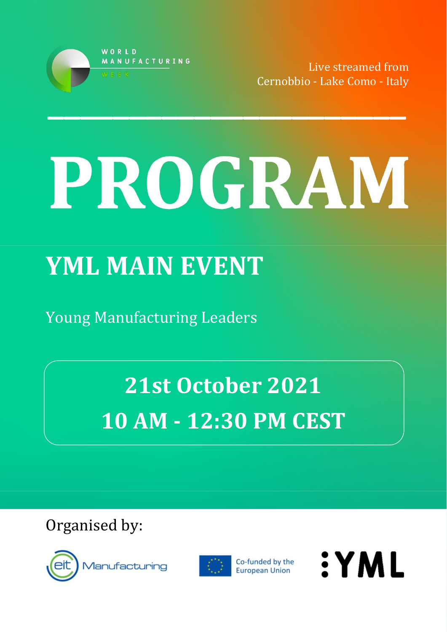

Live streamed from Cernobbio - Lake Como - Italy

# PROGRAM

# **YML MAIN EVENT**

Young Manufacturing Leaders

**21st October 2021 10 AM - 12:30 PM CEST**

Organised by:





Co-funded by the European Union

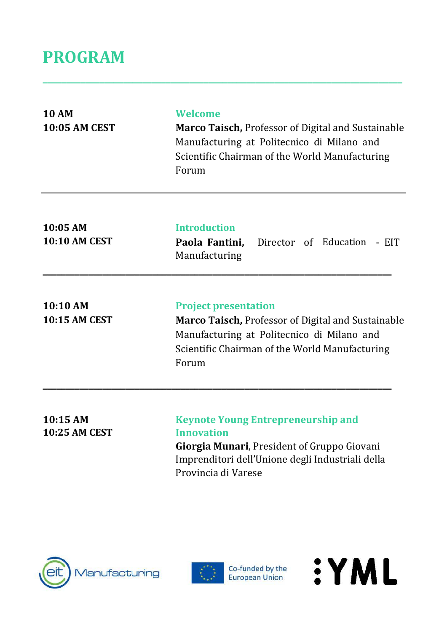# **PROGRAM**

| <b>10 AM</b><br><b>10:05 AM CEST</b> | Welcome<br><b>Marco Taisch, Professor of Digital and Sustainable</b><br>Manufacturing at Politecnico di Milano and<br>Scientific Chairman of the World Manufacturing<br>Forum                     |
|--------------------------------------|---------------------------------------------------------------------------------------------------------------------------------------------------------------------------------------------------|
| 10:05 AM<br><b>10:10 AM CEST</b>     | <b>Introduction</b><br>Paola Fantini,<br>Director of Education<br>- EIT<br>Manufacturing                                                                                                          |
| 10:10 AM<br><b>10:15 AM CEST</b>     | <b>Project presentation</b><br><b>Marco Taisch, Professor of Digital and Sustainable</b><br>Manufacturing at Politecnico di Milano and<br>Scientific Chairman of the World Manufacturing<br>Forum |
| 10:15 AM<br><b>10:25 AM CEST</b>     | <b>Keynote Young Entrepreneurship and</b><br>Innovation<br>Giorgia Munari, President of Gruppo Giovani<br>Imprenditori dell'Unione degli Industriali della<br>Provincia di Varese                 |

**\_\_\_\_\_\_\_\_\_\_\_\_\_\_\_\_\_\_\_\_\_\_\_\_\_\_\_\_\_\_\_\_\_\_\_\_\_\_\_\_\_\_\_\_\_\_\_\_\_\_\_\_\_\_\_\_\_\_\_\_\_\_\_\_\_\_\_\_\_\_\_\_\_\_\_\_**





Co-funded by the<br>European Union

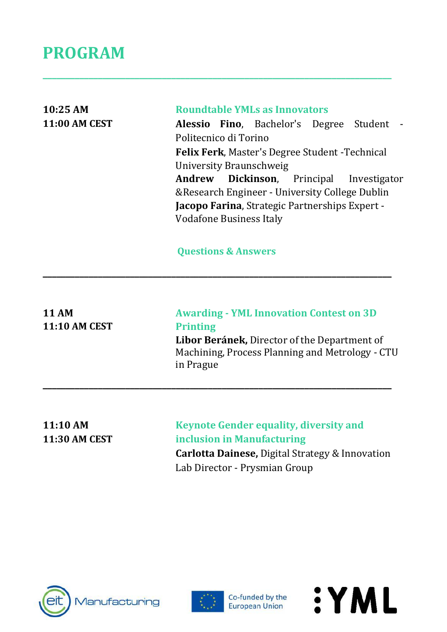### **PROGRAM**

| 10:25 AM<br><b>11:00 AM CEST</b>     | <b>Roundtable YMLs as Innovators</b><br><b>Alessio Fino</b> , Bachelor's Degree<br>Student<br>Politecnico di Torino<br><b>Felix Ferk, Master's Degree Student - Technical</b><br>University Braunschweig<br><b>Dickinson</b> , Principal<br>Andrew<br>Investigator<br>&Research Engineer - University College Dublin<br>Jacopo Farina, Strategic Partnerships Expert -<br><b>Vodafone Business Italy</b> |
|--------------------------------------|----------------------------------------------------------------------------------------------------------------------------------------------------------------------------------------------------------------------------------------------------------------------------------------------------------------------------------------------------------------------------------------------------------|
|                                      | <b>Questions &amp; Answers</b>                                                                                                                                                                                                                                                                                                                                                                           |
| <b>11 AM</b><br><b>11:10 AM CEST</b> | <b>Awarding - YML Innovation Contest on 3D</b><br><b>Printing</b><br>Libor Beránek, Director of the Department of<br>Machining, Process Planning and Metrology - CTU<br>in Prague                                                                                                                                                                                                                        |
|                                      |                                                                                                                                                                                                                                                                                                                                                                                                          |

**\_\_\_\_\_\_\_\_\_\_\_\_\_\_\_\_\_\_\_\_\_\_\_\_\_\_\_\_\_\_\_\_\_\_\_\_\_\_\_\_\_\_\_\_\_\_\_\_\_\_\_\_\_\_\_\_\_\_\_\_\_\_\_\_\_\_\_\_\_\_\_\_\_\_\_\_**

**11:10 AM 11:30 AM CEST** **Keynote Gender equality, diversity and inclusion in Manufacturing Carlotta Dainese,** Digital Strategy & Innovation Lab Director - Prysmian Group





Co-funded by the<br>European Union